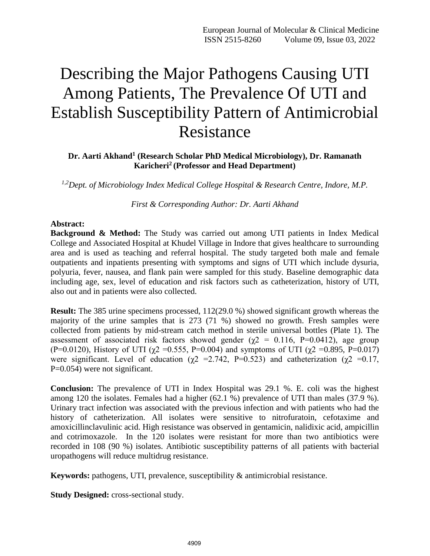# Describing the Major Pathogens Causing UTI Among Patients, The Prevalence Of UTI and Establish Susceptibility Pattern of Antimicrobial Resistance

## **Dr. Aarti Akhand<sup>1</sup> (Research Scholar PhD Medical Microbiology), Dr. Ramanath Karicheri<sup>2</sup> (Professor and Head Department)**

*1,2Dept. of Microbiology Index Medical College Hospital & Research Centre, Indore, M.P.*

*First & Corresponding Author: Dr. Aarti Akhand*

#### **Abstract:**

**Background & Method:** The Study was carried out among UTI patients in Index Medical College and Associated Hospital at Khudel Village in Indore that gives healthcare to surrounding area and is used as teaching and referral hospital. The study targeted both male and female outpatients and inpatients presenting with symptoms and signs of UTI which include dysuria, polyuria, fever, nausea, and flank pain were sampled for this study. Baseline demographic data including age, sex, level of education and risk factors such as catheterization, history of UTI, also out and in patients were also collected.

**Result:** The 385 urine specimens processed,  $112(29.0\%)$  showed significant growth whereas the majority of the urine samples that is 273 (71 %) showed no growth. Fresh samples were collected from patients by mid-stream catch method in sterile universal bottles (Plate 1). The assessment of associated risk factors showed gender ( $\gamma$ 2 = 0.116, P=0.0412), age group (P=0.0120), History of UTI ( $\chi$ 2 =0.555, P=0.004) and symptoms of UTI ( $\chi$ 2 =0.895, P=0.017) were significant. Level of education ( $\chi$ 2 = 2.742, P=0.523) and catheterization ( $\chi$ 2 = 0.17, P=0.054) were not significant.

**Conclusion:** The prevalence of UTI in Index Hospital was 29.1 %. E. coli was the highest among 120 the isolates. Females had a higher (62.1 %) prevalence of UTI than males (37.9 %). Urinary tract infection was associated with the previous infection and with patients who had the history of catheterization. All isolates were sensitive to nitrofuratoin, cefotaxime and amoxicillinclavulinic acid. High resistance was observed in gentamicin, nalidixic acid, ampicillin and cotrimoxazole. In the 120 isolates were resistant for more than two antibiotics were recorded in 108 (90 %) isolates. Antibiotic susceptibility patterns of all patients with bacterial uropathogens will reduce multidrug resistance.

**Keywords:** pathogens, UTI, prevalence, susceptibility & antimicrobial resistance.

**Study Designed:** cross-sectional study.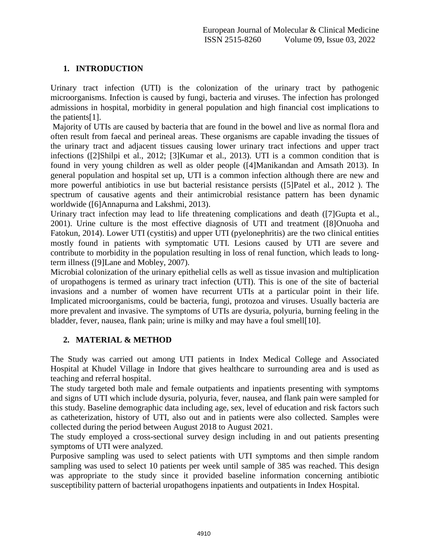## **1. INTRODUCTION**

Urinary tract infection (UTI) is the colonization of the urinary tract by pathogenic microorganisms. Infection is caused by fungi, bacteria and viruses. The infection has prolonged admissions in hospital, morbidity in general population and high financial cost implications to the patients[1].

Majority of UTIs are caused by bacteria that are found in the bowel and live as normal flora and often result from faecal and perineal areas. These organisms are capable invading the tissues of the urinary tract and adjacent tissues causing lower urinary tract infections and upper tract infections ([2]Shilpi et al., 2012; [3]Kumar et al., 2013). UTI is a common condition that is found in very young children as well as older people ([4]Manikandan and Amsath 2013). In general population and hospital set up, UTI is a common infection although there are new and more powerful antibiotics in use but bacterial resistance persists ([5]Patel et al., 2012 ). The spectrum of causative agents and their antimicrobial resistance pattern has been dynamic worldwide ([6]Annapurna and Lakshmi, 2013).

Urinary tract infection may lead to life threatening complications and death ([7]Gupta et al., 2001). Urine culture is the most effective diagnosis of UTI and treatment ([8]Onuoha and Fatokun, 2014). Lower UTI (cystitis) and upper UTI (pyelonephritis) are the two clinical entities mostly found in patients with symptomatic UTI. Lesions caused by UTI are severe and contribute to morbidity in the population resulting in loss of renal function, which leads to longterm illness ([9]Lane and Mobley, 2007).

Microbial colonization of the urinary epithelial cells as well as tissue invasion and multiplication of uropathogens is termed as urinary tract infection (UTI). This is one of the site of bacterial invasions and a number of women have recurrent UTIs at a particular point in their life. Implicated microorganisms, could be bacteria, fungi, protozoa and viruses. Usually bacteria are more prevalent and invasive. The symptoms of UTIs are dysuria, polyuria, burning feeling in the bladder, fever, nausea, flank pain; urine is milky and may have a foul smell[10].

## **2. MATERIAL & METHOD**

The Study was carried out among UTI patients in Index Medical College and Associated Hospital at Khudel Village in Indore that gives healthcare to surrounding area and is used as teaching and referral hospital.

The study targeted both male and female outpatients and inpatients presenting with symptoms and signs of UTI which include dysuria, polyuria, fever, nausea, and flank pain were sampled for this study. Baseline demographic data including age, sex, level of education and risk factors such as catheterization, history of UTI, also out and in patients were also collected. Samples were collected during the period between August 2018 to August 2021.

The study employed a cross-sectional survey design including in and out patients presenting symptoms of UTI were analyzed.

Purposive sampling was used to select patients with UTI symptoms and then simple random sampling was used to select 10 patients per week until sample of 385 was reached. This design was appropriate to the study since it provided baseline information concerning antibiotic susceptibility pattern of bacterial uropathogens inpatients and outpatients in Index Hospital.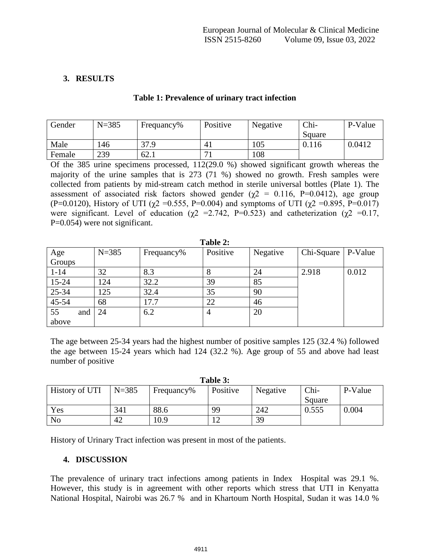## **3. RESULTS**

| Gender | $N = 385$ | Frequancy% | Positive | Negative | Chi-   | P-Value |
|--------|-----------|------------|----------|----------|--------|---------|
|        |           |            |          |          | Square |         |
| Male   | 146       | 37.9       | 4,       | 105      | 0.116  | 0.0412  |
| Female | 239       | 62.1       |          | 108      |        |         |

**Table 1: Prevalence of urinary tract infection**

Of the 385 urine specimens processed, 112(29.0 %) showed significant growth whereas the majority of the urine samples that is 273 (71 %) showed no growth. Fresh samples were collected from patients by mid-stream catch method in sterile universal bottles (Plate 1). The assessment of associated risk factors showed gender ( $\gamma$ 2 = 0.116, P=0.0412), age group (P=0.0120), History of UTI ( $\chi$ 2 =0.555, P=0.004) and symptoms of UTI ( $\chi$ 2 =0.895, P=0.017) were significant. Level of education ( $\chi$ 2 = 2.742, P=0.523) and catheterization ( $\chi$ 2 = 0.17, P=0.054) were not significant.

| Table 2:  |           |            |                |          |            |         |  |
|-----------|-----------|------------|----------------|----------|------------|---------|--|
| Age       | $N = 385$ | Frequancy% | Positive       | Negative | Chi-Square | P-Value |  |
| Groups    |           |            |                |          |            |         |  |
| $1 - 14$  | 32        | 8.3        | 8              | 24       | 2.918      | 0.012   |  |
| $15 - 24$ | 124       | 32.2       | 39             | 85       |            |         |  |
| 25-34     | 125       | 32.4       | 35             | 90       |            |         |  |
| $45 - 54$ | 68        | 17.7       | 22             | 46       |            |         |  |
| 55<br>and | 24        | 6.2        | $\overline{4}$ | 20       |            |         |  |
| above     |           |            |                |          |            |         |  |

The age between 25-34 years had the highest number of positive samples 125 (32.4 %) followed the age between 15-24 years which had 124 (32.2 %). Age group of 55 and above had least number of positive

| Table 3:       |           |            |          |          |        |         |  |
|----------------|-----------|------------|----------|----------|--------|---------|--|
| History of UTI | $N = 385$ | Frequancy% | Positive | Negative | Chi-   | P-Value |  |
|                |           |            |          |          | Square |         |  |
| Yes            | 341       | 88.6       | 99       | 242      | 0.555  | 0.004   |  |
| N <sub>o</sub> | 42        | 10.9       |          | 39       |        |         |  |

History of Urinary Tract infection was present in most of the patients.

### **4. DISCUSSION**

The prevalence of urinary tract infections among patients in Index Hospital was 29.1 %. However, this study is in agreement with other reports which stress that UTI in Kenyatta National Hospital, Nairobi was 26.7 % and in Khartoum North Hospital, Sudan it was 14.0 %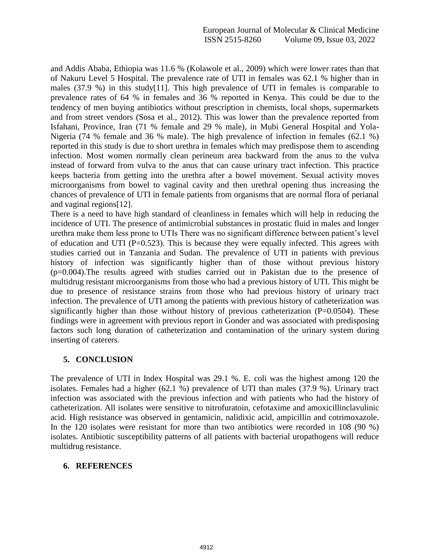and Addis Ababa, Ethiopia was 11.6 % (Kolawole et al., 2009) which were lower rates than that of Nakuru Level 5 Hospital. The prevalence rate of UTI in females was 62.1 % higher than in males (37.9 %) in this study[11]. This high prevalence of UTI in females is comparable to prevalence rates of 64 % in females and 36 % reported in Kenya. This could be due to the tendency of men buying antibiotics without prescription in chemists, local shops, supermarkets and from street vendors (Sosa et al., 2012). This was lower than the prevalence reported from Isfahani, Province, Iran (71 % female and 29 % male), in Mubi General Hospital and Yola-Nigeria (74 % female and 36 % male). The high prevalence of infection in females (62.1 %) reported in this study is due to short urethra in females which may predispose them to ascending infection. Most women normally clean perineum area backward from the anus to the vulva instead of forward from vulva to the anus that can cause urinary tract infection. This practice keeps bacteria from getting into the urethra after a bowel movement. Sexual activity moves microorganisms from bowel to vaginal cavity and then urethral opening thus increasing the chances of prevalence of UTI in female patients from organisms that are normal flora of perianal and vaginal regions[12].

There is a need to have high standard of cleanliness in females which will help in reducing the incidence of UTI. The presence of antimicrobial substances in prostatic fluid in males and longer urethra make them less prone to UTIs There was no significant difference between patient's level of education and UTI ( $P=0.523$ ). This is because they were equally infected. This agrees with studies carried out in Tanzania and Sudan. The prevalence of UTI in patients with previous history of infection was significantly higher than of those without previous history (p=0.004).The results agreed with studies carried out in Pakistan due to the presence of multidrug resistant microorganisms from those who had a previous history of UTI. This might be due to presence of resistance strains from those who had previous history of urinary tract infection. The prevalence of UTI among the patients with previous history of catheterization was significantly higher than those without history of previous catheterization  $(P=0.0504)$ . These findings were in agreement with previous report in Gonder and was associated with predisposing factors such long duration of catheterization and contamination of the urinary system during inserting of caterers.

### **5. CONCLUSION**

The prevalence of UTI in Index Hospital was 29.1 %. E. coli was the highest among 120 the isolates. Females had a higher (62.1 %) prevalence of UTI than males (37.9 %). Urinary tract infection was associated with the previous infection and with patients who had the history of catheterization. All isolates were sensitive to nitrofuratoin, cefotaxime and amoxicillinclavulinic acid. High resistance was observed in gentamicin, nalidixic acid, ampicillin and cotrimoxazole. In the 120 isolates were resistant for more than two antibiotics were recorded in 108 (90 %) isolates. Antibiotic susceptibility patterns of all patients with bacterial uropathogens will reduce multidrug resistance.

### **6. REFERENCES**